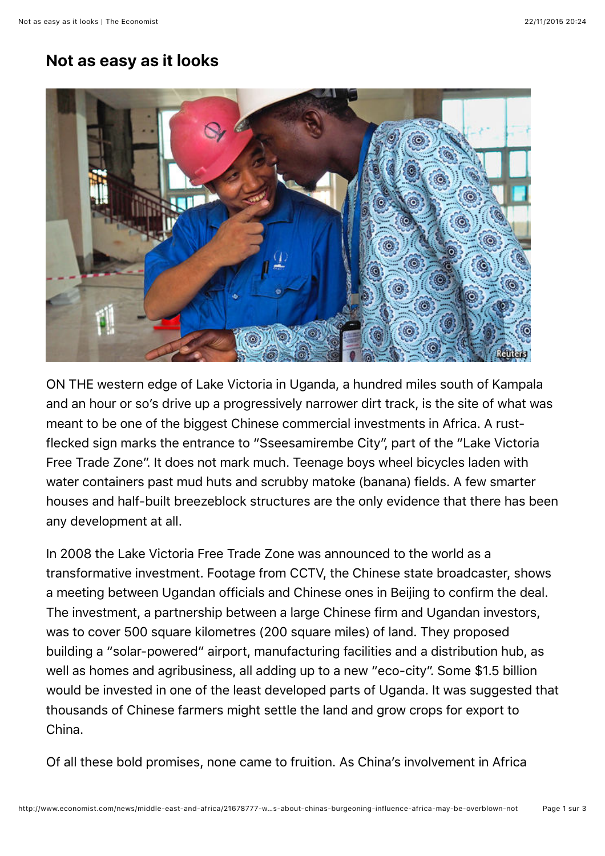## **Not as easy as it looks**



ON THE western edge of Lake Victoria in Uganda, a hundred miles south of Kampala and an hour or so's drive up a progressively narrower dirt track, is the site of what was meant to be one of the biggest Chinese commercial investments in Africa. A rustflecked sign marks the entrance to "Sseesamirembe City", part of the "Lake Victoria Free Trade Zone". It does not mark much. Teenage boys wheel bicycles laden with water containers past mud huts and scrubby matoke (banana) fields. A few smarter houses and half-built breezeblock structures are the only evidence that there has been any development at all.

In 2008 the Lake Victoria Free Trade Zone was announced to the world as a transformative investment. Footage from CCTV, the Chinese state broadcaster, shows a meeting between Ugandan officials and Chinese ones in Beijing to confirm the deal. The investment, a partnership between a large Chinese firm and Ugandan investors, was to cover 500 square kilometres (200 square miles) of land. They proposed building a "solar-powered" airport, manufacturing facilities and a distribution hub, as well as homes and agribusiness, all adding up to a new "eco-city". Some \$1.5 billion would be invested in one of the least developed parts of Uganda. It was suggested that thousands of Chinese farmers might settle the land and grow crops for export to China.

Of all these bold promises, none came to fruition. As China's involvement in Africa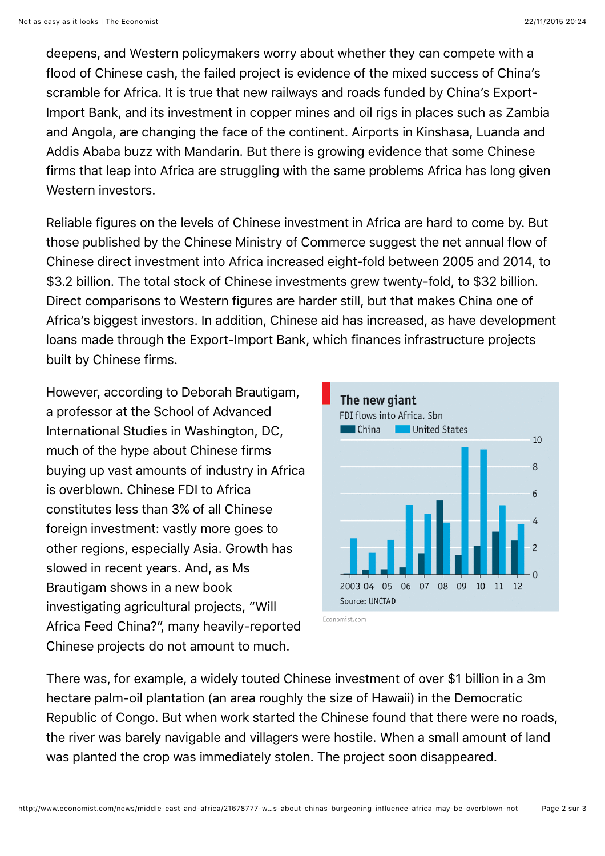deepens, and Western policymakers worry about whether they can compete with a flood of Chinese cash, the failed project is evidence of the mixed success of China's scramble for Africa. It is true that new railways and roads funded by China's Export-Import Bank, and its investment in copper mines and oil rigs in places such as Zambia and Angola, are changing the face of the continent. Airports in Kinshasa, Luanda and Addis Ababa buzz with Mandarin. But there is growing evidence that some Chinese firms that leap into Africa are struggling with the same problems Africa has long given Western investors.

Reliable figures on the levels of Chinese investment in Africa are hard to come by. But those published by the Chinese Ministry of Commerce suggest the net annual flow of Chinese direct investment into Africa increased eight-fold between 2005 and 2014, to \$3.2 billion. The total stock of Chinese investments grew twenty-fold, to \$32 billion. Direct comparisons to Western figures are harder still, but that makes China one of Africa's biggest investors. In addition, Chinese aid has increased, as have development loans made through the Export-Import Bank, which finances infrastructure projects built by Chinese firms.

However, according to Deborah Brautigam, a professor at the School of Advanced International Studies in Washington, DC, much of the hype about Chinese firms buying up vast amounts of industry in Africa is overblown. Chinese FDI to Africa constitutes less than 3% of all Chinese foreign investment: vastly more goes to other regions, especially Asia. Growth has slowed in recent years. And, as Ms Brautigam shows in a new book investigating agricultural projects, "Will Africa Feed China?", many heavily-reported Chinese projects do not amount to much.



There was, for example, a widely touted Chinese investment of over \$1 billion in a 3m hectare palm-oil plantation (an area roughly the size of Hawaii) in the Democratic Republic of Congo. But when work started the Chinese found that there were no roads, the river was barely navigable and villagers were hostile. When a small amount of land was planted the crop was immediately stolen. The project soon disappeared.